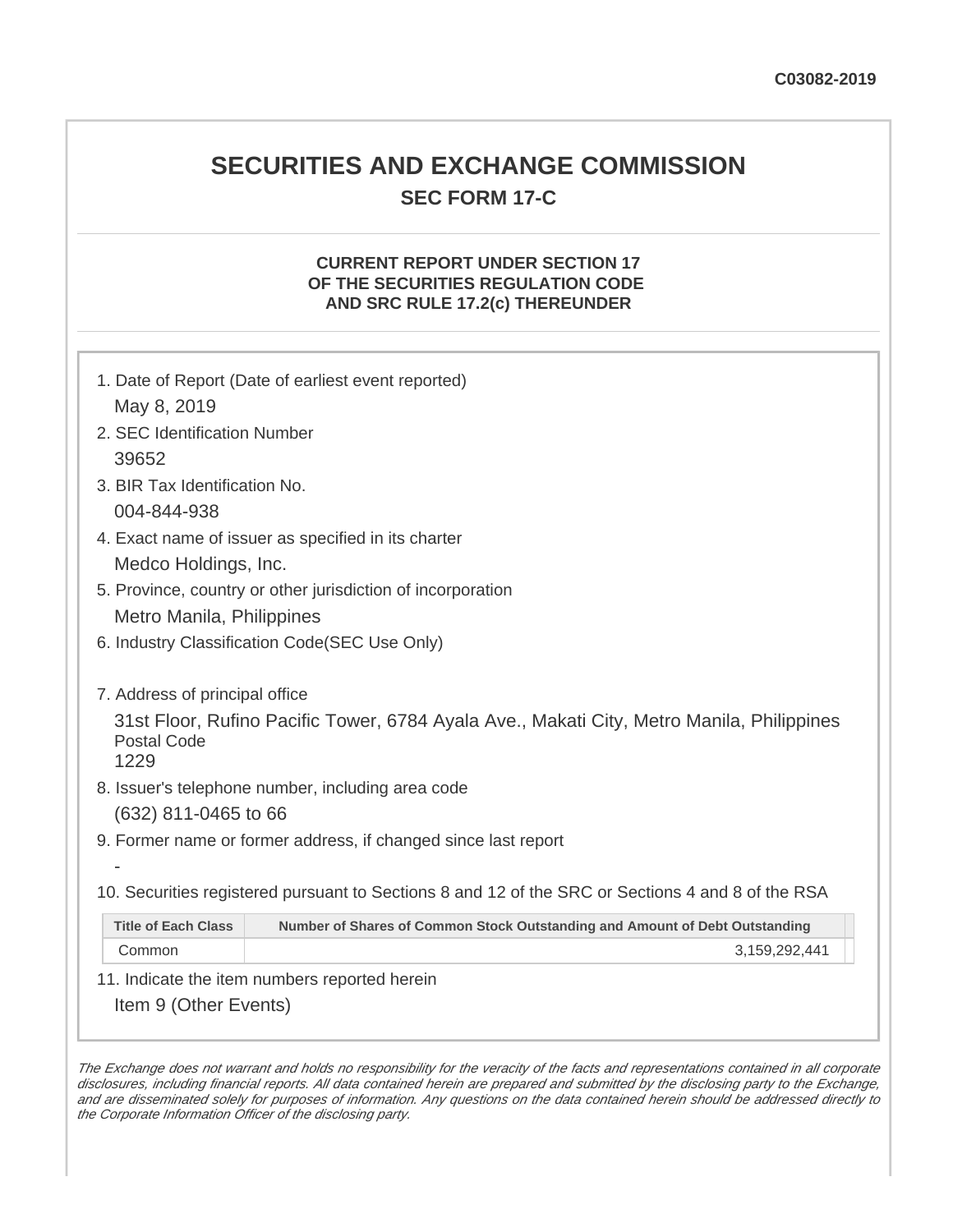## **SECURITIES AND EXCHANGE COMMISSION SEC FORM 17-C**

## **CURRENT REPORT UNDER SECTION 17 OF THE SECURITIES REGULATION CODE AND SRC RULE 17.2(c) THEREUNDER**

|                                               | 1. Date of Report (Date of earliest event reported)                                               |  |
|-----------------------------------------------|---------------------------------------------------------------------------------------------------|--|
| May 8, 2019                                   |                                                                                                   |  |
| 2. SEC Identification Number                  |                                                                                                   |  |
| 39652                                         |                                                                                                   |  |
| 3. BIR Tax Identification No.                 |                                                                                                   |  |
| 004-844-938                                   |                                                                                                   |  |
|                                               | 4. Exact name of issuer as specified in its charter                                               |  |
| Medco Holdings, Inc.                          |                                                                                                   |  |
|                                               | 5. Province, country or other jurisdiction of incorporation                                       |  |
| Metro Manila, Philippines                     |                                                                                                   |  |
| 6. Industry Classification Code(SEC Use Only) |                                                                                                   |  |
|                                               |                                                                                                   |  |
| 7. Address of principal office                |                                                                                                   |  |
| <b>Postal Code</b><br>1229                    | 31st Floor, Rufino Pacific Tower, 6784 Ayala Ave., Makati City, Metro Manila, Philippines         |  |
|                                               | 8. Issuer's telephone number, including area code                                                 |  |
| (632) 811-0465 to 66                          |                                                                                                   |  |
|                                               | 9. Former name or former address, if changed since last report                                    |  |
|                                               |                                                                                                   |  |
|                                               | 10. Securities registered pursuant to Sections 8 and 12 of the SRC or Sections 4 and 8 of the RSA |  |
| <b>Title of Each Class</b>                    | Number of Shares of Common Stock Outstanding and Amount of Debt Outstanding                       |  |

Common 3,159,292,441

11. Indicate the item numbers reported herein

Item 9 (Other Events)

The Exchange does not warrant and holds no responsibility for the veracity of the facts and representations contained in all corporate disclosures, including financial reports. All data contained herein are prepared and submitted by the disclosing party to the Exchange, and are disseminated solely for purposes of information. Any questions on the data contained herein should be addressed directly to the Corporate Information Officer of the disclosing party.